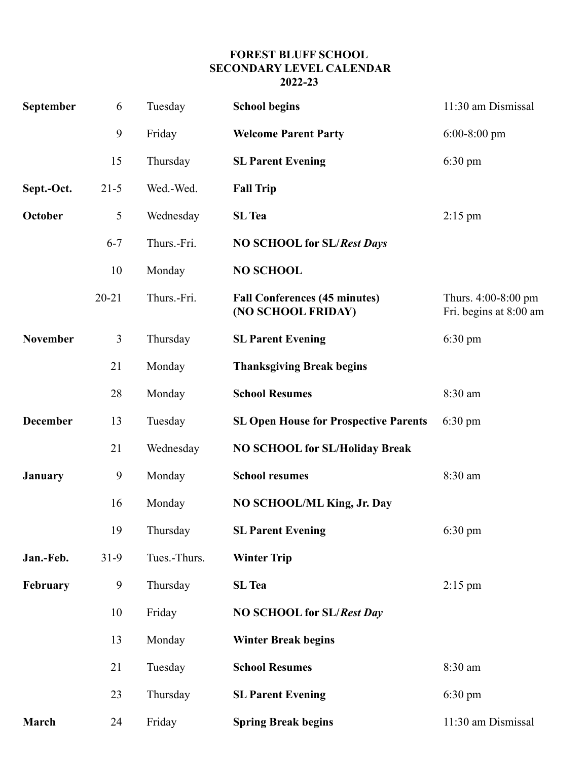## **FOREST BLUFF SCHOOL SECONDARY LEVEL CALENDAR 2022-23**

| September       | 6              | Tuesday      | <b>School begins</b>                                       | 11:30 am Dismissal                            |
|-----------------|----------------|--------------|------------------------------------------------------------|-----------------------------------------------|
|                 | 9              | Friday       | <b>Welcome Parent Party</b>                                | $6:00-8:00$ pm                                |
|                 | 15             | Thursday     | <b>SL Parent Evening</b>                                   | $6:30 \text{ pm}$                             |
| Sept.-Oct.      | $21-5$         | Wed.-Wed.    | <b>Fall Trip</b>                                           |                                               |
| October         | 5              | Wednesday    | <b>SL</b> Tea                                              | $2:15 \text{ pm}$                             |
|                 | $6 - 7$        | Thurs.-Fri.  | <b>NO SCHOOL for SL/Rest Days</b>                          |                                               |
|                 | 10             | Monday       | <b>NO SCHOOL</b>                                           |                                               |
|                 | $20 - 21$      | Thurs.-Fri.  | <b>Fall Conferences (45 minutes)</b><br>(NO SCHOOL FRIDAY) | Thurs. 4:00-8:00 pm<br>Fri. begins at 8:00 am |
| <b>November</b> | $\mathfrak{Z}$ | Thursday     | <b>SL Parent Evening</b>                                   | 6:30 pm                                       |
|                 | 21             | Monday       | <b>Thanksgiving Break begins</b>                           |                                               |
|                 | 28             | Monday       | <b>School Resumes</b>                                      | 8:30 am                                       |
| <b>December</b> | 13             | Tuesday      | <b>SL Open House for Prospective Parents</b>               | $6:30 \text{ pm}$                             |
|                 | 21             | Wednesday    | <b>NO SCHOOL for SL/Holiday Break</b>                      |                                               |
| <b>January</b>  | 9              | Monday       | <b>School resumes</b>                                      | 8:30 am                                       |
|                 | 16             | Monday       | NO SCHOOL/ML King, Jr. Day                                 |                                               |
|                 | 19             | Thursday     | <b>SL Parent Evening</b>                                   | 6:30 pm                                       |
| Jan.-Feb.       | $31-9$         | Tues.-Thurs. | <b>Winter Trip</b>                                         |                                               |
| February        | 9              | Thursday     | <b>SL</b> Tea                                              | $2:15 \text{ pm}$                             |
|                 | 10             | Friday       | <b>NO SCHOOL for SL/Rest Day</b>                           |                                               |
|                 | 13             | Monday       | <b>Winter Break begins</b>                                 |                                               |
|                 | 21             | Tuesday      | <b>School Resumes</b>                                      | 8:30 am                                       |
|                 | 23             | Thursday     | <b>SL Parent Evening</b>                                   | $6:30 \text{ pm}$                             |
| March           | 24             | Friday       | <b>Spring Break begins</b>                                 | 11:30 am Dismissal                            |